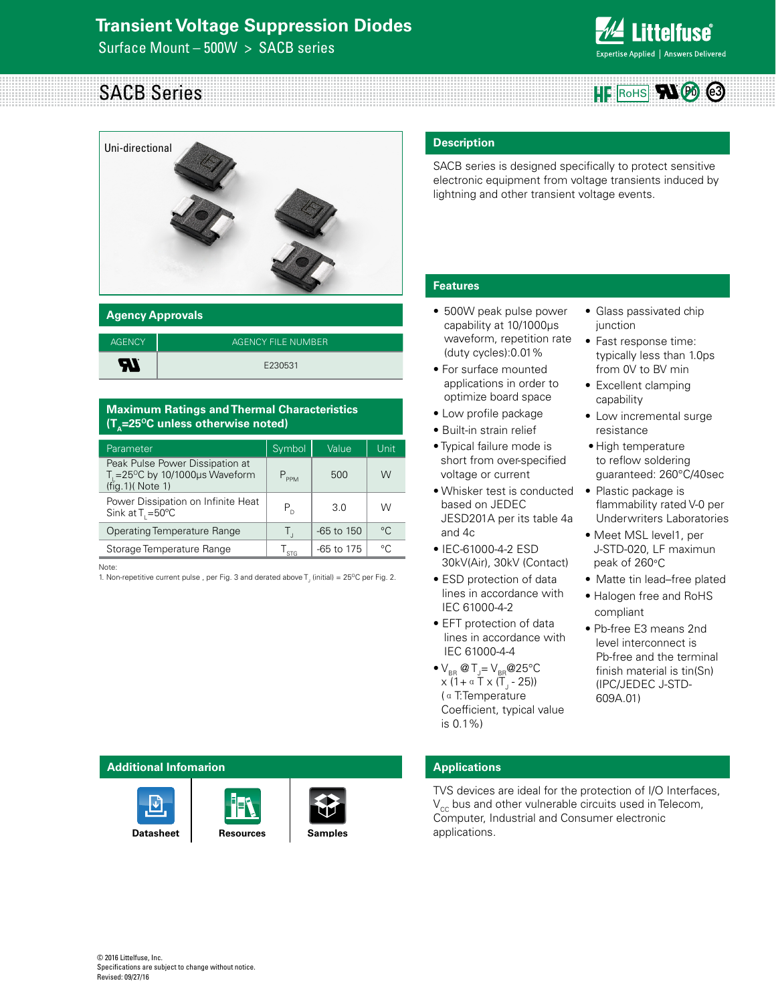# **Transient Voltage Suppression Diodes**

Surface Mount – 500W > SACB series



# SACB Series **HE** RoHS



| <b>Agency Approvals</b> |                    |  |  |  |  |
|-------------------------|--------------------|--|--|--|--|
| <b>AGENCY</b>           | AGENCY FILE NUMBER |  |  |  |  |
| Æ                       | E230531            |  |  |  |  |

#### **Maximum Ratings and Thermal Characteristics (T<sub>n</sub>=25<sup>o</sup>C unless otherwise noted)**

| Parameter                                                                                            | Symbol    | Value          | Unit         |
|------------------------------------------------------------------------------------------------------|-----------|----------------|--------------|
| Peak Pulse Power Dissipation at<br>T = $25^{\circ}$ C by 10/1000 $\mu$ s Waveform<br>(fig.1)(Note 1) | $P_{PPM}$ | 500            | W            |
| Power Dissipation on Infinite Heat<br>Sink at $T_1 = 50^{\circ}$ C                                   | $P_{D}$   | 3.0            | W            |
| Operating Temperature Range                                                                          | ۱Г.       | $-65$ to $150$ | $^{\circ}$ C |
| Storage Temperature Range                                                                            | $I_{STG}$ | $-65$ to 175   | $\circ$      |

Note:

1. Non-repetitive current pulse , per Fig. 3 and derated above  $T_{\rm j}$  (initial) = 25°C per Fig. 2.

# **Description**

SACB series is designed specifically to protect sensitive electronic equipment from voltage transients induced by lightning and other transient voltage events.

## **Features**

- 500W peak pulse power capability at 10/1000μs waveform, repetition rate (duty cycles):0.01%
- For surface mounted applications in order to optimize board space
- Low profile package
- Built-in strain relief
- Typical failure mode is short from over-specified voltage or current
- Whisker test is conducted based on JEDEC JESD201A per its table 4a and 4c
- IEC-61000-4-2 ESD 30kV(Air), 30kV (Contact)
- ESD protection of data lines in accordance with IEC 61000-4-2
- EFT protection of data lines in accordance with IEC 61000-4-4
- $\bullet$  V<sub>BR</sub> @ T<sub>J</sub>= V<sub>BR</sub> @ 25°C x (1+αT x (TJ - 25)) (αT:Temperature Coefficient, typical value is 0.1%)
- Glass passivated chip junction
- Fast response time: typically less than 1.0ps from 0V to BV min
- Excellent clamping capability
- Low incremental surge resistance
- High temperature to reflow soldering guaranteed: 260°C/40sec
- Plastic package is flammability rated V-0 per Underwriters Laboratories
- Meet MSL level1, per J-STD-020, LF maximun peak of 260°C
- Matte tin lead–free plated
- Halogen free and RoHS compliant
- Pb-free E3 means 2nd level interconnect is Pb-free and the terminal finish material is tin(Sn) (IPC/JEDEC J-STD-609A.01)

#### **Additional Infomarion**







# **Applications**

TVS devices are ideal for the protection of I/O Interfaces,  $V_{cc}$  bus and other vulnerable circuits used in Telecom, Computer, Industrial and Consumer electronic applications.

**[Resources](http://www.littelfuse.com/products/tvs-diodes/surface-mount/sacb.aspx#TechnicalResources) [Samples](http://www.littelfuse.com/products/tvs-diodes/surface-mount/sacb.aspx#ElectricalCharacteristics)**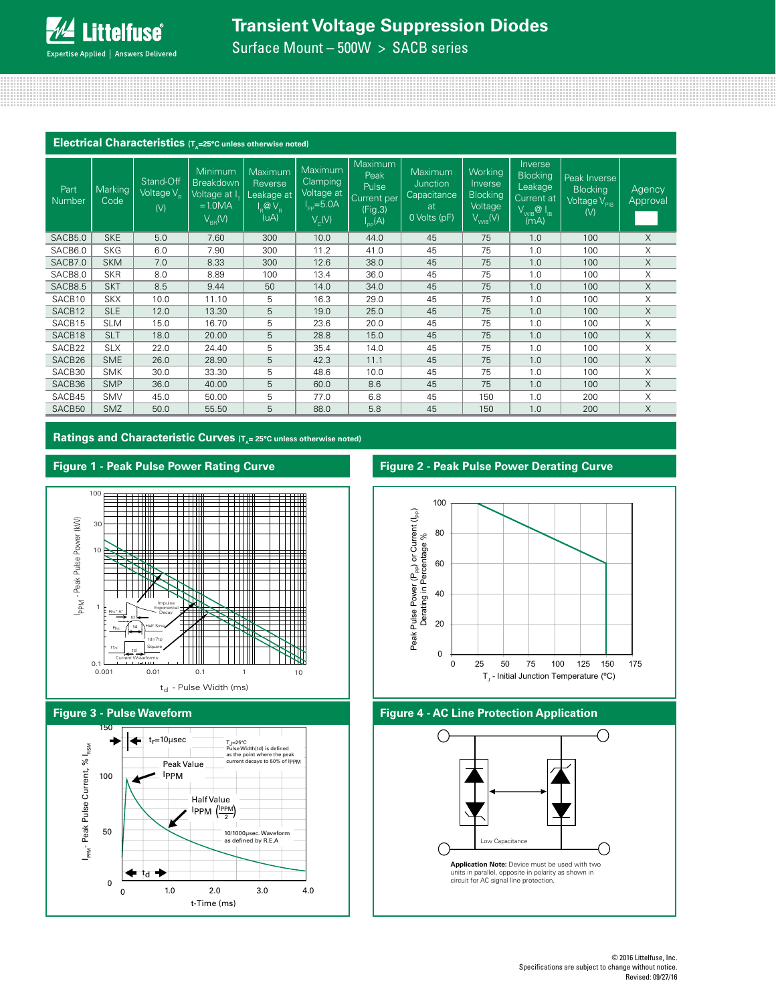# **Transient Voltage Suppression Diodes**

Surface Mount – 500W > SACB series

| Electrical Characteristics (T <sub>A</sub> =25°C unless otherwise noted) |                 |                                            |                                                                                |                                                                       |                                                                         |                                                                          |                                                                 |                                                                  |                                                                                     |                                                                                         |                    |
|--------------------------------------------------------------------------|-----------------|--------------------------------------------|--------------------------------------------------------------------------------|-----------------------------------------------------------------------|-------------------------------------------------------------------------|--------------------------------------------------------------------------|-----------------------------------------------------------------|------------------------------------------------------------------|-------------------------------------------------------------------------------------|-----------------------------------------------------------------------------------------|--------------------|
| Part<br>Number                                                           | Marking<br>Code | Stand-Off<br>Voltage V <sub>R</sub><br>(V) | <b>Minimum</b><br><b>Breakdown</b><br>Voltage at I<br>$=1.0MA$<br>$V_{BB}$ (V) | Maximum<br>Reverse<br>Leakage at<br>$I_{\rm R}$ @ $V_{\rm R}$<br>(uA) | Maximum<br>Clamping<br>Voltage at<br>$I_{\text{pp}} = 5.0A$<br>$V_c(V)$ | Maximum<br>Peak<br>Pulse<br>Current per<br>(Fig.3)<br>$I_{\text{pp}}(A)$ | Maximum<br><b>Junction</b><br>Capacitance<br>at<br>0 Volts (pF) | Working<br>Inverse<br><b>Blocking</b><br>Voltage<br>$V_{WIB}(V)$ | Inverse<br><b>Blocking</b><br>Leakage<br>Current at<br>$V_{WIB}$ $Q I_{IB}$<br>(mA) | Peak Inverse<br><b>Blocking</b><br>Voltage $\sqrt{\overline{\ }}_{\mathrm{PIB}}$<br>(V) | Agency<br>Approval |
| SACB5.0                                                                  | <b>SKE</b>      | 5.0                                        | 7.60                                                                           | 300                                                                   | 10.0                                                                    | 44.0                                                                     | 45                                                              | 75                                                               | 1.0                                                                                 | 100                                                                                     | X                  |
| SACB6.0                                                                  | <b>SKG</b>      | 6.0                                        | 7.90                                                                           | 300                                                                   | 11.2                                                                    | 41.0                                                                     | 45                                                              | 75                                                               | 1.0                                                                                 | 100                                                                                     | X                  |
| SACB7.0                                                                  | <b>SKM</b>      | 7.0                                        | 8.33                                                                           | 300                                                                   | 12.6                                                                    | 38.0                                                                     | 45                                                              | 75                                                               | 1.0                                                                                 | 100                                                                                     | X                  |
| SACB8.0                                                                  | <b>SKR</b>      | 8.0                                        | 8.89                                                                           | 100                                                                   | 13.4                                                                    | 36.0                                                                     | 45                                                              | 75                                                               | 1.0                                                                                 | 100                                                                                     | X                  |
| SACB8.5                                                                  | <b>SKT</b>      | 8.5                                        | 9.44                                                                           | 50                                                                    | 14.0                                                                    | 34.0                                                                     | 45                                                              | 75                                                               | 1.0                                                                                 | 100                                                                                     | X                  |
| SACB10                                                                   | <b>SKX</b>      | 10.0                                       | 11.10                                                                          | 5                                                                     | 16.3                                                                    | 29.0                                                                     | 45                                                              | 75                                                               | 1.0                                                                                 | 100                                                                                     | Χ                  |
| SACB12                                                                   | <b>SLE</b>      | 12.0                                       | 13.30                                                                          | 5                                                                     | 19.0                                                                    | 25.0                                                                     | 45                                                              | 75                                                               | 1.0                                                                                 | 100                                                                                     | X                  |
| SACB15                                                                   | <b>SLM</b>      | 15.0                                       | 16.70                                                                          | 5                                                                     | 23.6                                                                    | 20.0                                                                     | 45                                                              | 75                                                               | 1.0                                                                                 | 100                                                                                     | Χ                  |
| SACB18                                                                   | <b>SLT</b>      | 18.0                                       | 20.00                                                                          | 5                                                                     | 28.8                                                                    | 15.0                                                                     | 45                                                              | 75                                                               | 1.0                                                                                 | 100                                                                                     | X                  |
| SACB22                                                                   | <b>SLX</b>      | 22.0                                       | 24.40                                                                          | 5                                                                     | 35.4                                                                    | 14.0                                                                     | 45                                                              | 75                                                               | 1.0                                                                                 | 100                                                                                     | X                  |
| SACB26                                                                   | <b>SME</b>      | 26.0                                       | 28.90                                                                          | 5                                                                     | 42.3                                                                    | 11.1                                                                     | 45                                                              | 75                                                               | 1.0                                                                                 | 100                                                                                     | X                  |
| SACB30                                                                   | <b>SMK</b>      | 30.0                                       | 33.30                                                                          | 5                                                                     | 48.6                                                                    | 10.0                                                                     | 45                                                              | 75                                                               | 1.0                                                                                 | 100                                                                                     | X                  |
| SACB36                                                                   | <b>SMP</b>      | 36.0                                       | 40.00                                                                          | 5                                                                     | 60.0                                                                    | 8.6                                                                      | 45                                                              | 75                                                               | 1.0                                                                                 | 100                                                                                     | X                  |
| SACB45                                                                   | <b>SMV</b>      | 45.0                                       | 50.00                                                                          | 5                                                                     | 77.0                                                                    | 6.8                                                                      | 45                                                              | 150                                                              | 1.0                                                                                 | 200                                                                                     | X                  |
| SACB50                                                                   | <b>SMZ</b>      | 50.0                                       | 55.50                                                                          | 5                                                                     | 88.0                                                                    | 5.8                                                                      | 45                                                              | 150                                                              | 1.0                                                                                 | 200                                                                                     | X                  |

Ratings and Characteristic Curves (T<sub>A</sub>= 25°C unless otherwise noted)

# **Figure 1 - Peak Pulse Power Rating Curve**



#### **Figure 3 - Pulse Waveform**



## **Figure 2 - Peak Pulse Power Derating Curve**



### **Figure 4 - AC Line Protection Application**

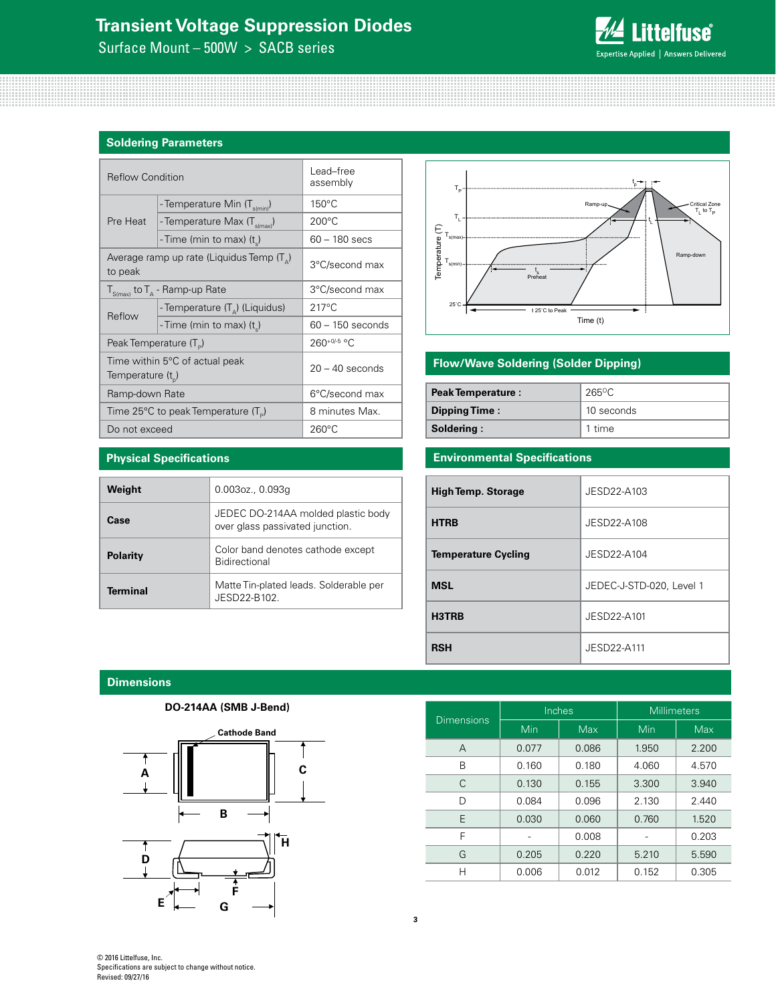# **Transient Voltage Suppression Diodes**

Surface Mount – 500W > SACB series



#### **Soldering Parameters**

| <b>Reflow Condition</b> |                                                    | Lead-free<br>assembly |  |  |
|-------------------------|----------------------------------------------------|-----------------------|--|--|
|                         | - Temperature Min (T <sub>s(min</sub> )            | $150^{\circ}$ C       |  |  |
| Pre Heat                | - Temperature Max (T <sub>s(max)</sub> )           | $200^{\circ}$ C       |  |  |
|                         | - Time (min to max) $(t_s)$                        | 60 - 180 secs         |  |  |
| to peak                 | Average ramp up rate (Liquidus Temp $(T_{\alpha})$ | 3°C/second max        |  |  |
|                         | $T_{S(max)}$ to $T_A$ - Ramp-up Rate               | 3°C/second max        |  |  |
| Reflow                  | - Temperature $(T_{\Delta})$ (Liquidus)            | $217^{\circ}$ C       |  |  |
|                         | - Time (min to max) (t)                            | $60 - 150$ seconds    |  |  |
|                         | Peak Temperature (T <sub>D</sub> )                 | 260+0/-5 °C           |  |  |
| Temperature $(t_{n})$   | Time within 5°C of actual peak                     | $20 - 40$ seconds     |  |  |
| Ramp-down Rate          |                                                    | 6°C/second max        |  |  |
|                         | Time 25°C to peak Temperature (T <sub>a</sub> )    | 8 minutes Max.        |  |  |
| Do not exceed           |                                                    | $260^{\circ}$ C       |  |  |

**Case** JEDEC DO-214AA molded plastic body

**Polarity** Color band denotes cathode except Bidirectional

**Terminal** Matte Tin-plated leads. Solderable per JESD22-B102.

over glass passivated junction.



# **Flow/Wave Soldering (Solder Dipping)**

| <b>Peak Temperature:</b> | 265°C      |  |
|--------------------------|------------|--|
| Dipping Time:            | 10 seconds |  |
| Soldering:               | 1 time     |  |

# **Environmental Specifications**

| <b>High Temp. Storage</b>  | JESD22-A103              |
|----------------------------|--------------------------|
| <b>HTRB</b>                | JESD22-A108              |
| <b>Temperature Cycling</b> | JESD22-A104              |
| <b>MSL</b>                 | JEDEC-J-STD-020, Level 1 |
| H3TRB                      | JESD22-A101              |
| <b>RSH</b>                 | JFSD22-A111              |

**Dimensions**

**Physical Specifications**

**Weight** 0.003oz., 0.093g



| <b>Dimensions</b> | Inches |            | <b>Millimeters</b> |            |  |
|-------------------|--------|------------|--------------------|------------|--|
|                   | Min    | <b>Max</b> | Min                | <b>Max</b> |  |
| A                 | 0.077  | 0.086      | 1.950              | 2.200      |  |
| В                 | 0.160  | 0.180      | 4.060              | 4.570      |  |
| C                 | 0.130  | 0.155      | 3.300              | 3.940      |  |
| D                 | 0.084  | 0.096      | 2.130              | 2.440      |  |
| F                 | 0.030  | 0.060      | 0.760              | 1.520      |  |
| F                 |        | 0.008      |                    | 0.203      |  |
| G                 | 0.205  | 0.220      | 5.210              | 5.590      |  |
| н                 | 0.006  | 0.012      | 0.152              | 0.305      |  |

© 2016 Littelfuse, Inc. Specifications are subject to change without notice. Revised: 09/27/16